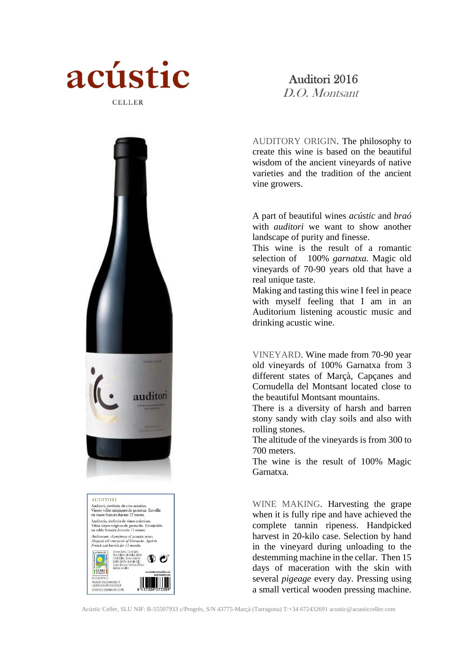

## Auditori 2016

D.O. Montsant

AUDITORY ORIGIN. The philosophy to create this wine is based on the beautiful wisdom of the ancient vineyards of native varieties and the tradition of the ancient vine growers.

A part of beautiful wines *acústic* and *braó* with *auditori* we want to show another landscape of purity and finesse.

This wine is the result of a romantic selection of 100% *garnatxa.* Magic old vineyards of 70-90 years old that have a real unique taste.

Making and tasting this wine I feel in peace with myself feeling that I am in an Auditorium listening acoustic music and drinking acustic wine.

VINEYARD. Wine made from 70-90 year old vineyards of 100% Garnatxa from 3 different states of Marçà, Capçanes and Cornudella del Montsant located close to the beautiful Montsant mountains.

There is a diversity of harsh and barren stony sandy with clay soils and also with rolling stones.

The altitude of the vineyards is from 300 to 700 meters.

The wine is the result of 100% Magic Garnatxa.

WINE MAKING. Harvesting the grape when it is fully ripe and have achieved the complete tannin ripeness. Handpicked harvest in 20-kilo case. Selection by hand in the vineyard during unloading to the destemming machine in the cellar. Then 15 days of maceration with the skin with several *pigeage* every day. Pressing using a small vertical wooden pressing machine.



Auditori, simfonia de vins acústics.<br>Vinyes velles màgiques de garnatxa. Envellit<br>en roure francès durant 13 mesos. Auditorio, sinfonía de vinos acústicos.<br>Viñas viejas mágicas de garnacha. Envejecido<br>en roble francés durante 13 meses. Auditorium, shymphony of acoustic wines.<br>Magical old vineyards of Grenache. Aged in<br>French oak barrels for 13 months. CCPAE .<br>Produít en conversió a<br>L'Agricultura ecològica GROULTURA ECOLOGICI<br>BTICICO OBCANIC BY CC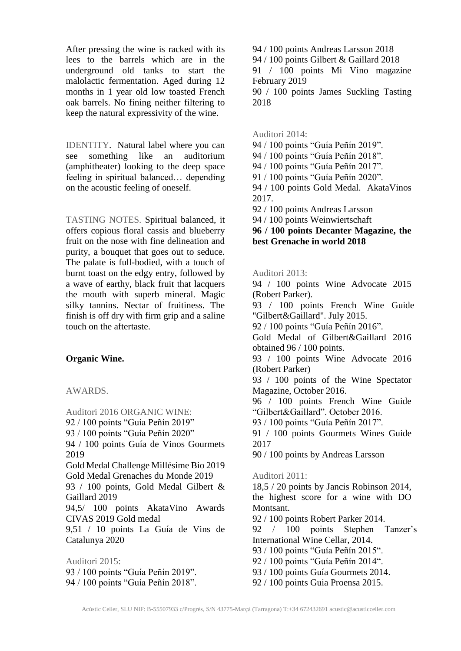After pressing the wine is racked with its lees to the barrels which are in the underground old tanks to start the malolactic fermentation. Aged during 12 months in 1 year old low toasted French oak barrels. No fining neither filtering to keep the natural expressivity of the wine.

IDENTITY. Natural label where you can see something like an auditorium (amphitheater) looking to the deep space feeling in spiritual balanced… depending on the acoustic feeling of oneself.

TASTING NOTES. Spiritual balanced, it offers copious floral cassis and blueberry fruit on the nose with fine delineation and purity, a bouquet that goes out to seduce. The palate is full-bodied, with a touch of burnt toast on the edgy entry, followed by a wave of earthy, black fruit that lacquers the mouth with superb mineral. Magic silky tannins. Nectar of fruitiness. The finish is off dry with firm grip and a saline touch on the aftertaste.

## **Organic Wine.**

AWARDS.

Auditori 2016 ORGANIC WINE: 92 / 100 points "Guía Peñín 2019" 93 / 100 points "Guía Peñín 2020" 94 / 100 points Guía de Vinos Gourmets 2019 Gold Medal Challenge Millésime Bio 2019 Gold Medal Grenaches du Monde 2019 93 / 100 points, Gold Medal Gilbert & Gaillard 2019 94,5/ 100 points AkataVino Awards CIVAS 2019 Gold medal 9,51 / 10 points La Guía de Vins de Catalunya 2020 Auditori 2015: 93 / 100 points "Guía Peñín 2019". 94 / 100 points "Guía Peñín 2018".

94 / 100 points Andreas Larsson 2018 94 / 100 points Gilbert & Gaillard 2018 91 / 100 points Mi Vino magazine February 2019 90 / 100 points James Suckling Tasting 2018

Auditori 2014:

94 / 100 points "Guía Peñín 2019".

94 / 100 points "Guía Peñín 2018".

94 / 100 points "Guía Peñín 2017".

91 / 100 points "Guía Peñín 2020".

94 / 100 points Gold Medal. AkataVinos 2017.

92 / 100 points Andreas Larsson

94 / 100 points Weinwiertschaft

**96 / 100 points Decanter Magazine, the best Grenache in world 2018**

Auditori 2013:

94 / 100 points Wine Advocate 2015 (Robert Parker). 93 / 100 points French Wine Guide "Gilbert&Gaillard". July 2015. 92 / 100 points "Guía Peñín 2016". Gold Medal of Gilbert&Gaillard 2016 obtained 96 / 100 points. 93 / 100 points Wine Advocate 2016 (Robert Parker) 93 / 100 points of the Wine Spectator Magazine, October 2016. 96 / 100 points French Wine Guide "Gilbert&Gaillard". October 2016. 93 / 100 points "Guía Peñín 2017". 91 / 100 points Gourmets Wines Guide 2017 90 / 100 points by Andreas Larsson Auditori 2011: 18,5 / 20 points by Jancis Robinson 2014, the highest score for a wine with DO Montsant. 92 / 100 points Robert Parker 2014. 92 / 100 points Stephen Tanzer's International Wine Cellar, 2014. 93 / 100 points "Guía Peñín 2015". 92 / 100 points "Guía Peñín 2014". 93 / 100 points Guía Gourmets 2014. 92 / 100 points Guia Proensa 2015.